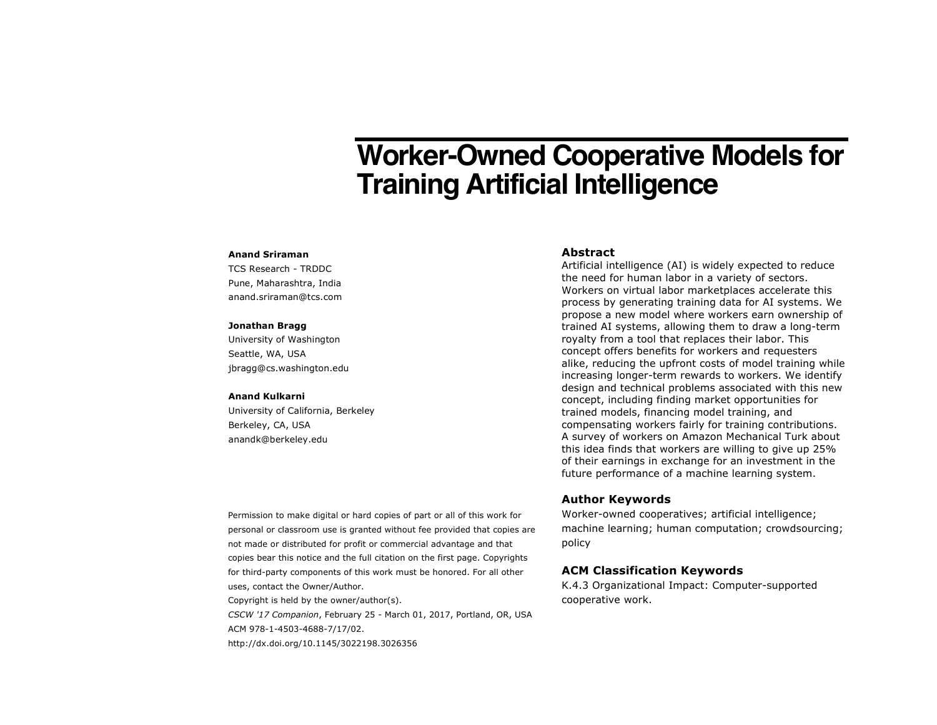# **Worker-Owned Cooperative Models for Training Artificial Intelligence**

#### **Anand Sriraman**

TCS Research - TRDDC Pune, Maharashtra, India anand.sriraman@tcs.com

#### **Jonathan Bragg**

University of Washington Seattle, WA, USA jbragg@cs.washington.edu

#### **Anand Kulkarni**

University of California, Berkeley Berkeley, CA, USA anandk@berkeley.edu

#### **Abstract**

Artificial intelligence (AI) is widely expected to reduce the need for human labor in a variety of sectors. Workers on virtual labor marketplaces accelerate this process by generating training data for AI systems. We propose a new model where workers earn ownership of trained AI systems, allowing them to draw a long-term royalty from a tool that replaces their labor. This concept offers benefits for workers and requesters alike, reducing the upfront costs of model training while increasing longer-term rewards to workers. We identify design and technical problems associated with this new concept, including finding market opportunities for trained models, financing model training, and compensating workers fairly for training contributions. A survey of workers on Amazon Mechanical Turk about this idea finds that workers are willing to give up 25% of their earnings in exchange for an investment in the future performance of a machine learning system.

### **Author Keywords**

Worker-owned cooperatives; artificial intelligence; machine learning; human computation; crowdsourcing; policy

#### **ACM Classification Keywords**

K.4.3 Organizational Impact: Computer-supported cooperative work.

Permission to make digital or hard copies of part or all of this work for personal or classroom use is granted without fee provided that copies are not made or distributed for profit or commercial advantage and that copies bear this notice and the full citation on the first page. Copyrights for third-party components of this work must be honored. For all other uses, contact the Owner/Author.

Copyright is held by the owner/author(s).

*CSCW '17 Companion*, February 25 - March 01, 2017, Portland, OR, USA ACM 978-1-4503-4688-7/17/02.

http://dx.doi.org/10.1145/3022198.3026356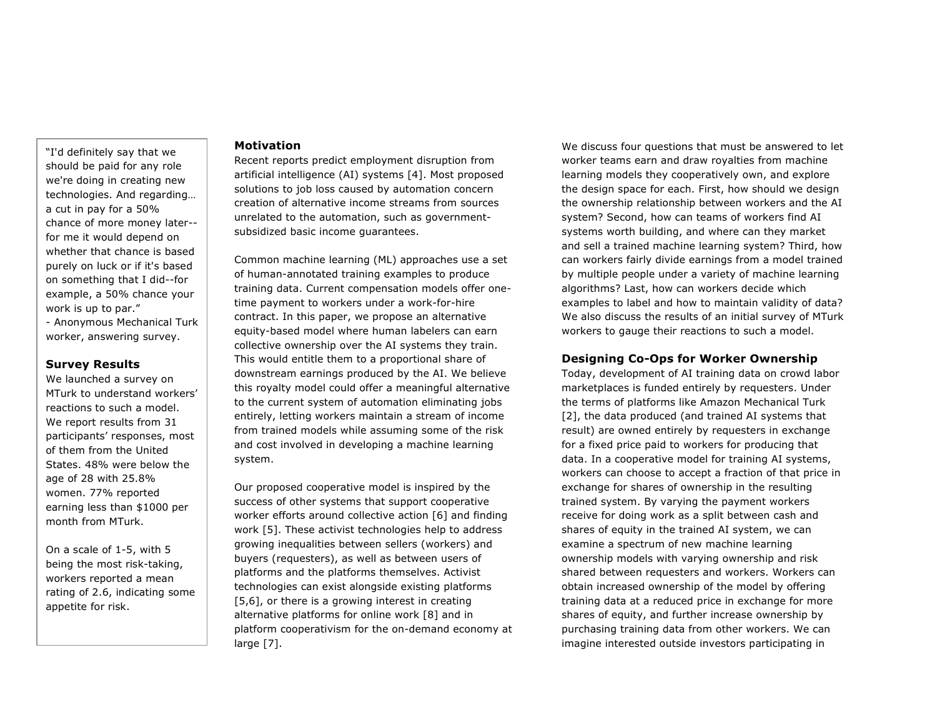# "I'd definitely say that we should be paid for any role we're doing in creating new technologies. And regarding… a cut in pay for a 50% chance of more money later- for me it would depend on whether that chance is based purely on luck or if it's based on something that I did--for example, a 50% chance your work is up to par."

- Anonymous Mechanical Turk worker, answering survey.

## **Survey Results**

We launched a survey on MTurk to understand workers' reactions to such a model. We report results from 31 participants' responses, most of them from the United States. 48% were below the age of 28 with 25.8% women. 77% reported earning less than \$1000 per month from MTurk.

On a scale of 1-5, with 5 being the most risk-taking, workers reported a mean rating of 2.6, indicating some appetite for risk.

## **Motivation**

Recent reports predict employment disruption from artificial intelligence (AI) systems [4]. Most proposed solutions to job loss caused by automation concern creation of alternative income streams from sources unrelated to the automation, such as governmentsubsidized basic income guarantees.

Common machine learning (ML) approaches use a set of human-annotated training examples to produce training data. Current compensation models offer onetime payment to workers under a work-for-hire contract. In this paper, we propose an alternative equity-based model where human labelers can earn collective ownership over the AI systems they train. This would entitle them to a proportional share of downstream earnings produced by the AI. We believe this royalty model could offer a meaningful alternative to the current system of automation eliminating jobs entirely, letting workers maintain a stream of income from trained models while assuming some of the risk and cost involved in developing a machine learning system.

Our proposed cooperative model is inspired by the success of other systems that support cooperative worker efforts around collective action [6] and finding work [5]. These activist technologies help to address growing inequalities between sellers (workers) and buyers (requesters), as well as between users of platforms and the platforms themselves. Activist technologies can exist alongside existing platforms [5,6], or there is a growing interest in creating alternative platforms for online work [8] and in platform cooperativism for the on-demand economy at large [7].

We discuss four questions that must be answered to let worker teams earn and draw royalties from machine learning models they cooperatively own, and explore the design space for each. First, how should we design the ownership relationship between workers and the AI system? Second, how can teams of workers find AI systems worth building, and where can they market and sell a trained machine learning system? Third, how can workers fairly divide earnings from a model trained by multiple people under a variety of machine learning algorithms? Last, how can workers decide which examples to label and how to maintain validity of data? We also discuss the results of an initial survey of MTurk workers to gauge their reactions to such a model.

# **Designing Co-Ops for Worker Ownership**

Today, development of AI training data on crowd labor marketplaces is funded entirely by requesters. Under the terms of platforms like Amazon Mechanical Turk [2], the data produced (and trained AI systems that result) are owned entirely by requesters in exchange for a fixed price paid to workers for producing that data. In a cooperative model for training AI systems, workers can choose to accept a fraction of that price in exchange for shares of ownership in the resulting trained system. By varying the payment workers receive for doing work as a split between cash and shares of equity in the trained AI system, we can examine a spectrum of new machine learning ownership models with varying ownership and risk shared between requesters and workers. Workers can obtain increased ownership of the model by offering training data at a reduced price in exchange for more shares of equity, and further increase ownership by purchasing training data from other workers. We can imagine interested outside investors participating in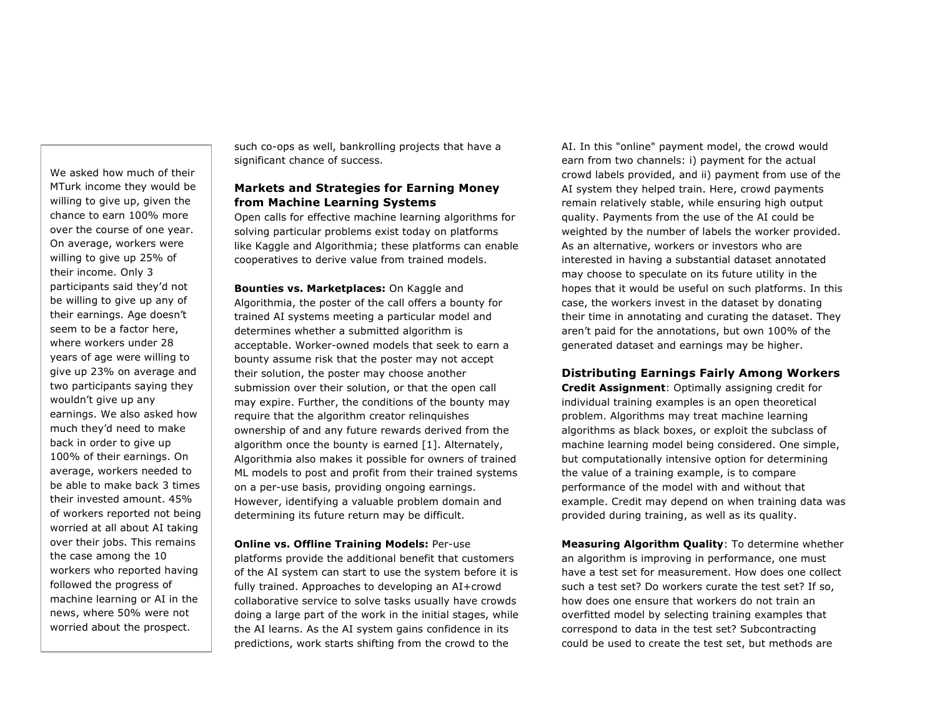We asked how much of their MTurk income they would be willing to give up, given the chance to earn 100% more over the course of one year. On average, workers were willing to give up 25% of their income. Only 3 participants said they'd not be willing to give up any of their earnings. Age doesn't seem to be a factor here, where workers under 28 years of age were willing to give up 23% on average and two participants saying they wouldn't give up any earnings. We also asked how much they'd need to make back in order to give up 100% of their earnings. On average, workers needed to be able to make back 3 times their invested amount. 45% of workers reported not being worried at all about AI taking over their jobs. This remains the case among the 10 workers who reported having followed the progress of machine learning or AI in the news, where 50% were not worried about the prospect.

such co-ops as well, bankrolling projects that have a significant chance of success.

# **Markets and Strategies for Earning Money from Machine Learning Systems**

Open calls for effective machine learning algorithms for solving particular problems exist today on platforms like Kaggle and Algorithmia; these platforms can enable cooperatives to derive value from trained models.

**Bounties vs. Marketplaces:** On Kaggle and Algorithmia, the poster of the call offers a bounty for trained AI systems meeting a particular model and determines whether a submitted algorithm is acceptable. Worker-owned models that seek to earn a bounty assume risk that the poster may not accept their solution, the poster may choose another submission over their solution, or that the open call may expire. Further, the conditions of the bounty may require that the algorithm creator relinquishes ownership of and any future rewards derived from the algorithm once the bounty is earned [1]. Alternately, Algorithmia also makes it possible for owners of trained ML models to post and profit from their trained systems on a per-use basis, providing ongoing earnings. However, identifying a valuable problem domain and determining its future return may be difficult.

**Online vs. Offline Training Models:** Per-use platforms provide the additional benefit that customers of the AI system can start to use the system before it is fully trained. Approaches to developing an AI+crowd collaborative service to solve tasks usually have crowds doing a large part of the work in the initial stages, while the AI learns. As the AI system gains confidence in its predictions, work starts shifting from the crowd to the

AI. In this "online" payment model, the crowd would earn from two channels: i) payment for the actual crowd labels provided, and ii) payment from use of the AI system they helped train. Here, crowd payments remain relatively stable, while ensuring high output quality. Payments from the use of the AI could be weighted by the number of labels the worker provided. As an alternative, workers or investors who are interested in having a substantial dataset annotated may choose to speculate on its future utility in the hopes that it would be useful on such platforms. In this case, the workers invest in the dataset by donating their time in annotating and curating the dataset. They aren't paid for the annotations, but own 100% of the generated dataset and earnings may be higher.

**Distributing Earnings Fairly Among Workers**

**Credit Assignment**: Optimally assigning credit for individual training examples is an open theoretical problem. Algorithms may treat machine learning algorithms as black boxes, or exploit the subclass of machine learning model being considered. One simple, but computationally intensive option for determining the value of a training example, is to compare performance of the model with and without that example. Credit may depend on when training data was provided during training, as well as its quality.

**Measuring Algorithm Quality**: To determine whether an algorithm is improving in performance, one must have a test set for measurement. How does one collect such a test set? Do workers curate the test set? If so, how does one ensure that workers do not train an overfitted model by selecting training examples that correspond to data in the test set? Subcontracting could be used to create the test set, but methods are